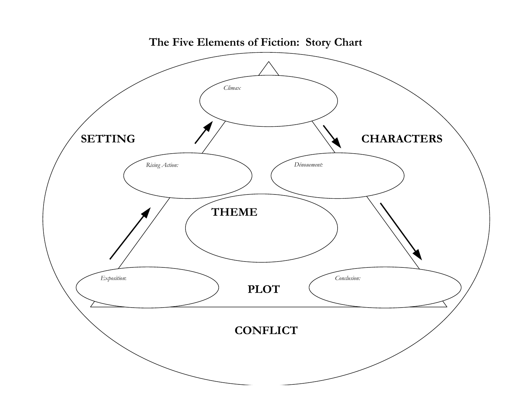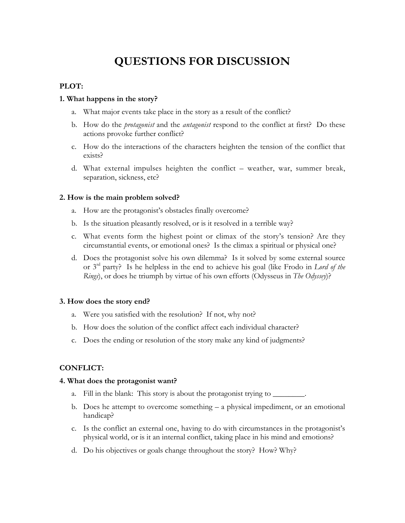# **QUESTIONS FOR DISCUSSION**

# **PLOT:**

#### **1. What happens in the story?**

- a. What major events take place in the story as a result of the conflict?
- b. How do the *protagonist* and the *antagonist* respond to the conflict at first? Do these actions provoke further conflict?
- c. How do the interactions of the characters heighten the tension of the conflict that exists?
- d. What external impulses heighten the conflict weather, war, summer break, separation, sickness, etc?

## **2. How is the main problem solved?**

- a. How are the protagonist's obstacles finally overcome?
- b. Is the situation pleasantly resolved, or is it resolved in a terrible way?
- c. What events form the highest point or climax of the story's tension? Are they circumstantial events, or emotional ones? Is the climax a spiritual or physical one?
- d. Does the protagonist solve his own dilemma? Is it solved by some external source or 3rd party? Is he helpless in the end to achieve his goal (like Frodo in *Lord of the Rings*), or does he triumph by virtue of his own efforts (Odysseus in *The Odyssey*)?

## **3. How does the story end?**

- a. Were you satisfied with the resolution? If not, why not?
- b. How does the solution of the conflict affect each individual character?
- c. Does the ending or resolution of the story make any kind of judgments?

## **CONFLICT:**

#### **4. What does the protagonist want?**

- a. Fill in the blank: This story is about the protagonist trying to \_\_\_\_\_\_\_\_.
- b. Does he attempt to overcome something a physical impediment, or an emotional handicap?
- c. Is the conflict an external one, having to do with circumstances in the protagonist's physical world, or is it an internal conflict, taking place in his mind and emotions?
- d. Do his objectives or goals change throughout the story? How? Why?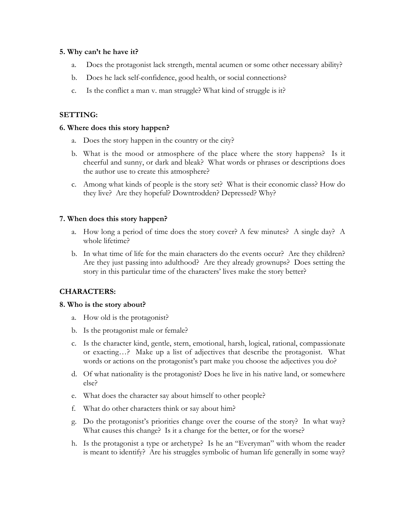#### **5. Why can't he have it?**

- a. Does the protagonist lack strength, mental acumen or some other necessary ability?
- b. Does he lack self-confidence, good health, or social connections?
- c. Is the conflict a man v. man struggle? What kind of struggle is it?

## **SETTING:**

#### **6. Where does this story happen?**

- a. Does the story happen in the country or the city?
- b. What is the mood or atmosphere of the place where the story happens? Is it cheerful and sunny, or dark and bleak? What words or phrases or descriptions does the author use to create this atmosphere?
- c. Among what kinds of people is the story set? What is their economic class? How do they live? Are they hopeful? Downtrodden? Depressed? Why?

## **7. When does this story happen?**

- a. How long a period of time does the story cover? A few minutes? A single day? A whole lifetime?
- b. In what time of life for the main characters do the events occur? Are they children? Are they just passing into adulthood? Are they already grownups? Does setting the story in this particular time of the characters' lives make the story better?

# **CHARACTERS:**

## **8. Who is the story about?**

- a. How old is the protagonist?
- b. Is the protagonist male or female?
- c. Is the character kind, gentle, stern, emotional, harsh, logical, rational, compassionate or exacting…? Make up a list of adjectives that describe the protagonist. What words or actions on the protagonist's part make you choose the adjectives you do?
- d. Of what nationality is the protagonist? Does he live in his native land, or somewhere else?
- e. What does the character say about himself to other people?
- f. What do other characters think or say about him?
- g. Do the protagonist's priorities change over the course of the story? In what way? What causes this change? Is it a change for the better, or for the worse?
- h. Is the protagonist a type or archetype? Is he an "Everyman" with whom the reader is meant to identify? Are his struggles symbolic of human life generally in some way?